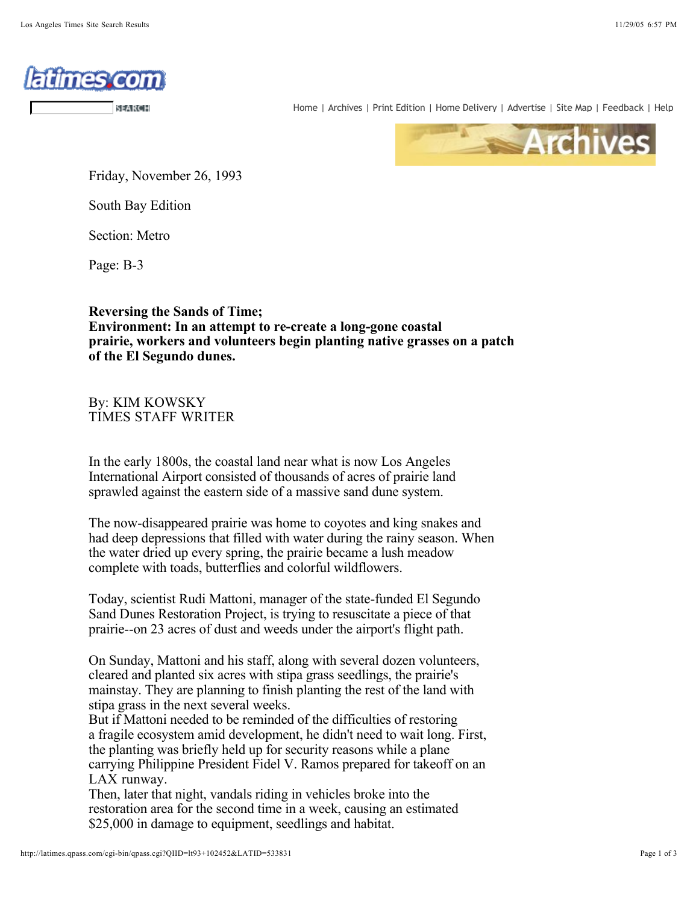

Home | Archives | Print Edition | Home Delivery | Advertise | Site Map | Feedback | Help



Friday, November 26, 1993

South Bay Edition

Section: Metro

Page: B-3

## **Reversing the Sands of Time; Environment: In an attempt to re-create a long-gone coastal prairie, workers and volunteers begin planting native grasses on a patch of the El Segundo dunes.**

By: KIM KOWSKY TIMES STAFF WRITER

In the early 1800s, the coastal land near what is now Los Angeles International Airport consisted of thousands of acres of prairie land sprawled against the eastern side of a massive sand dune system.

The now-disappeared prairie was home to coyotes and king snakes and had deep depressions that filled with water during the rainy season. When the water dried up every spring, the prairie became a lush meadow complete with toads, butterflies and colorful wildflowers.

Today, scientist Rudi Mattoni, manager of the state-funded El Segundo Sand Dunes Restoration Project, is trying to resuscitate a piece of that prairie--on 23 acres of dust and weeds under the airport's flight path.

On Sunday, Mattoni and his staff, along with several dozen volunteers, cleared and planted six acres with stipa grass seedlings, the prairie's mainstay. They are planning to finish planting the rest of the land with stipa grass in the next several weeks.

But if Mattoni needed to be reminded of the difficulties of restoring a fragile ecosystem amid development, he didn't need to wait long. First, the planting was briefly held up for security reasons while a plane carrying Philippine President Fidel V. Ramos prepared for takeoff on an LAX runway.

Then, later that night, vandals riding in vehicles broke into the restoration area for the second time in a week, causing an estimated \$25,000 in damage to equipment, seedlings and habitat.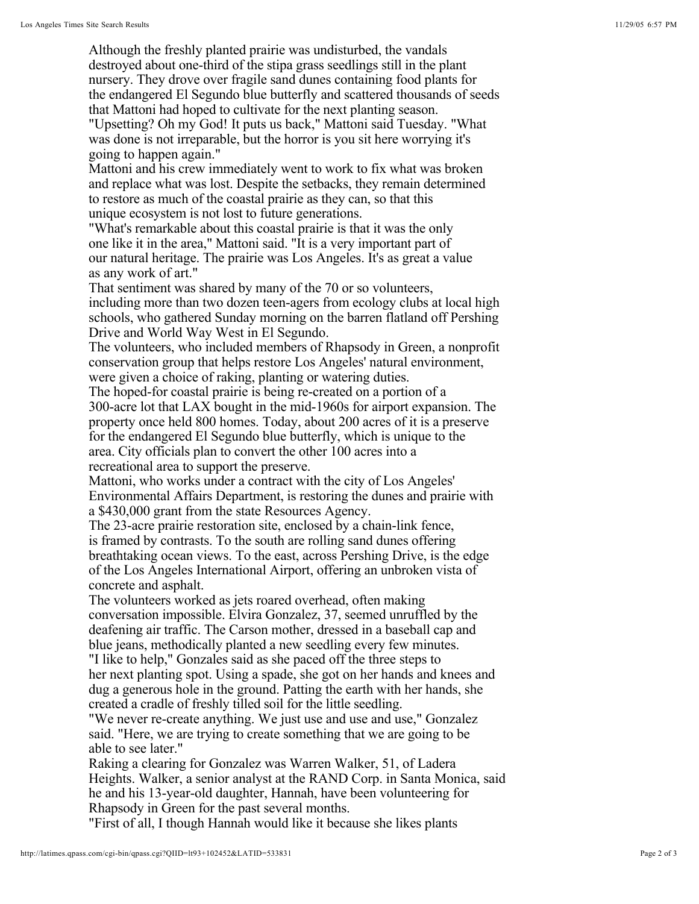Although the freshly planted prairie was undisturbed, the vandals destroyed about one-third of the stipa grass seedlings still in the plant nursery. They drove over fragile sand dunes containing food plants for the endangered El Segundo blue butterfly and scattered thousands of seeds that Mattoni had hoped to cultivate for the next planting season.

"Upsetting? Oh my God! It puts us back," Mattoni said Tuesday. "What was done is not irreparable, but the horror is you sit here worrying it's going to happen again."

Mattoni and his crew immediately went to work to fix what was broken and replace what was lost. Despite the setbacks, they remain determined to restore as much of the coastal prairie as they can, so that this unique ecosystem is not lost to future generations.

"What's remarkable about this coastal prairie is that it was the only one like it in the area," Mattoni said. "It is a very important part of our natural heritage. The prairie was Los Angeles. It's as great a value as any work of art."

That sentiment was shared by many of the 70 or so volunteers, including more than two dozen teen-agers from ecology clubs at local high schools, who gathered Sunday morning on the barren flatland off Pershing Drive and World Way West in El Segundo.

The volunteers, who included members of Rhapsody in Green, a nonprofit conservation group that helps restore Los Angeles' natural environment, were given a choice of raking, planting or watering duties.

The hoped-for coastal prairie is being re-created on a portion of a 300-acre lot that LAX bought in the mid-1960s for airport expansion. The property once held 800 homes. Today, about 200 acres of it is a preserve for the endangered El Segundo blue butterfly, which is unique to the area. City officials plan to convert the other 100 acres into a recreational area to support the preserve.

Mattoni, who works under a contract with the city of Los Angeles' Environmental Affairs Department, is restoring the dunes and prairie with a \$430,000 grant from the state Resources Agency.

The 23-acre prairie restoration site, enclosed by a chain-link fence, is framed by contrasts. To the south are rolling sand dunes offering breathtaking ocean views. To the east, across Pershing Drive, is the edge of the Los Angeles International Airport, offering an unbroken vista of concrete and asphalt.

The volunteers worked as jets roared overhead, often making conversation impossible. Elvira Gonzalez, 37, seemed unruffled by the deafening air traffic. The Carson mother, dressed in a baseball cap and blue jeans, methodically planted a new seedling every few minutes.

"I like to help," Gonzales said as she paced off the three steps to her next planting spot. Using a spade, she got on her hands and knees and dug a generous hole in the ground. Patting the earth with her hands, she created a cradle of freshly tilled soil for the little seedling.

"We never re-create anything. We just use and use and use," Gonzalez said. "Here, we are trying to create something that we are going to be able to see later."

Raking a clearing for Gonzalez was Warren Walker, 51, of Ladera Heights. Walker, a senior analyst at the RAND Corp. in Santa Monica, said he and his 13-year-old daughter, Hannah, have been volunteering for Rhapsody in Green for the past several months.

"First of all, I though Hannah would like it because she likes plants